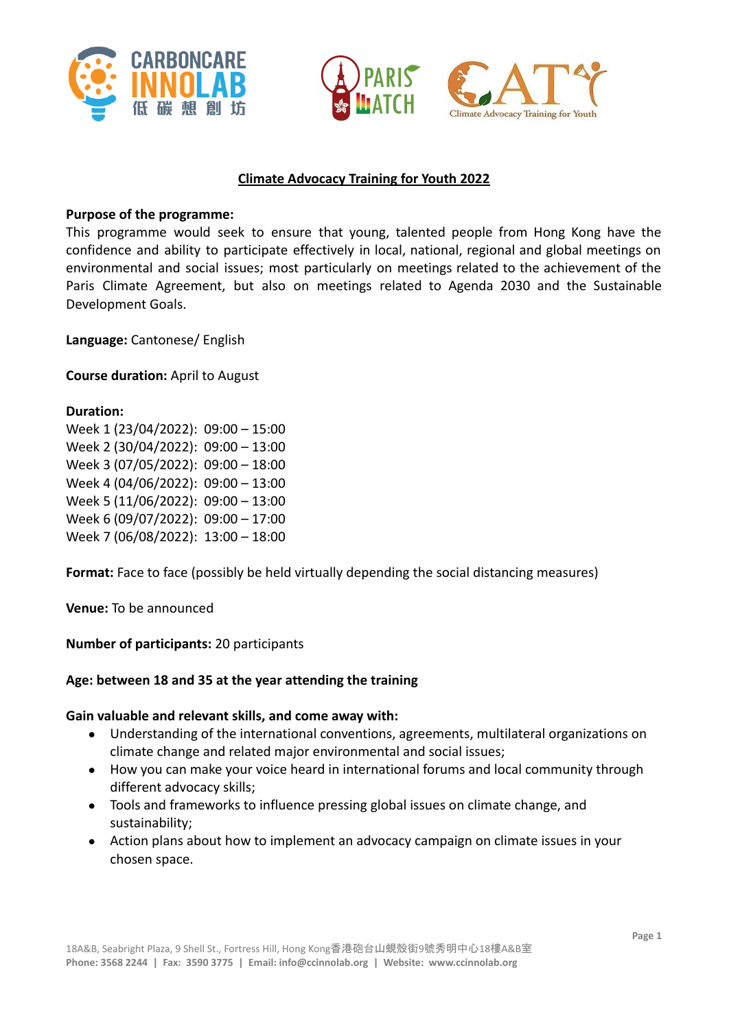





### **Climate Advocacy Training for Youth 2022**

#### **Purpose of the programme:**

This programme would seek to ensure that young, talented people from Hong Kong have the confidence and ability to participate effectively in local, national, regional and global meetings on environmental and social issues; most particularly on meetings related to the achievement of the Paris Climate Agreement, but also on meetings related to Agenda 2030 and the Sustainable Development Goals.

**Language:** Cantonese/ English

**Course duration:** April to August

#### **Duration:**

Week 1 (23/04/2022): 09:00 – 15:00 Week 2 (30/04/2022): 09:00 – 13:00 Week 3 (07/05/2022): 09:00 – 18:00 Week 4 (04/06/2022): 09:00 – 13:00 Week 5 (11/06/2022): 09:00 – 13:00 Week 6 (09/07/2022): 09:00 – 17:00 Week 7 (06/08/2022): 13:00 – 18:00

**Format:** Face to face (possibly be held virtually depending the social distancing measures)

**Venue:** To be announced

**Number of participants:** 20 participants

#### **Age: between 18 and 35 at the year attending the training**

#### **Gain valuable and relevant skills, and come away with:**

- Understanding of the international conventions, agreements, multilateral organizations on climate change and related major environmental and social issues;
- How you can make your voice heard in international forums and local community through different advocacy skills;
- Tools and frameworks to influence pressing global issues on climate change, and sustainability;
- Action plans about how to implement an advocacy campaign on climate issues in your chosen space.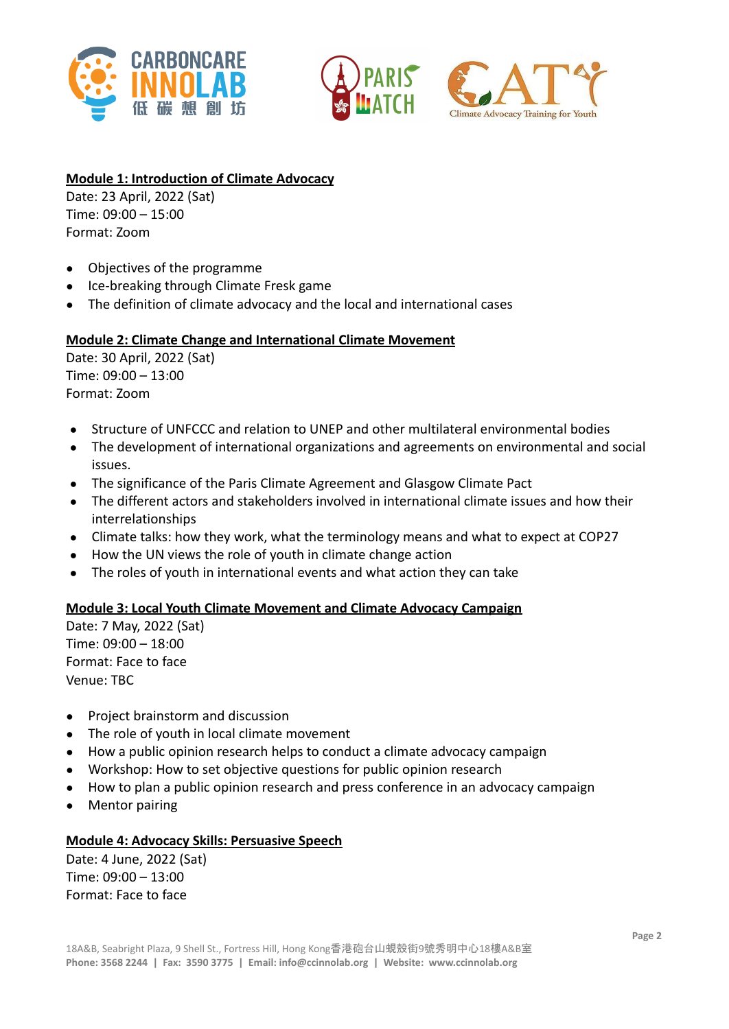





## **Module 1: Introduction of Climate Advocacy**

Date: 23 April, 2022 (Sat) Time: 09:00 – 15:00 Format: Zoom

- Objectives of the programme
- Ice-breaking through Climate Fresk game
- The definition of climate advocacy and the local and international cases

## **Module 2: Climate Change and International Climate Movement**

Date: 30 April, 2022 (Sat) Time: 09:00 – 13:00 Format: Zoom

- Structure of UNFCCC and relation to UNEP and other multilateral environmental bodies
- The development of international organizations and agreements on environmental and social issues.
- The significance of the Paris Climate Agreement and Glasgow Climate Pact
- The different actors and stakeholders involved in international climate issues and how their interrelationships
- Climate talks: how they work, what the terminology means and what to expect at COP27
- How the UN views the role of youth in climate change action
- The roles of youth in international events and what action they can take

#### **Module 3: Local Youth Climate Movement and Climate Advocacy Campaign**

Date: 7 May, 2022 (Sat) Time: 09:00 – 18:00 Format: Face to face Venue: TBC

- Project brainstorm and discussion
- The role of youth in local climate movement
- How a public opinion research helps to conduct a climate advocacy campaign
- Workshop: How to set objective questions for public opinion research
- How to plan a public opinion research and press conference in an advocacy campaign
- **Mentor pairing**

#### **Module 4: Advocacy Skills: Persuasive Speech**

Date: 4 June, 2022 (Sat) Time: 09:00 – 13:00 Format: Face to face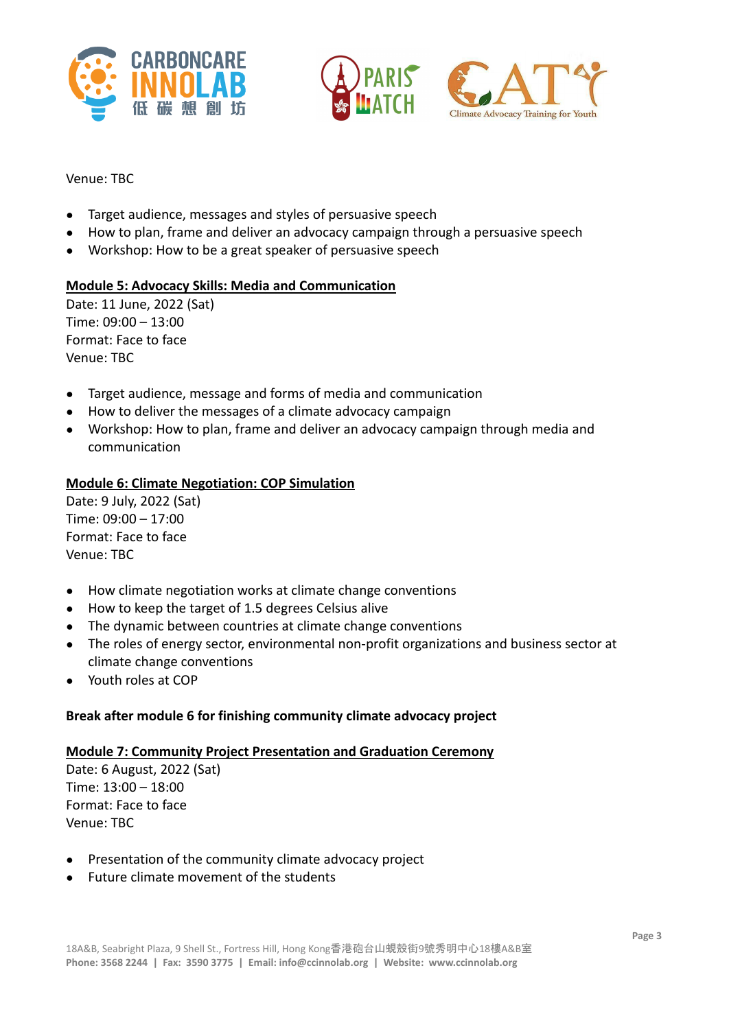





#### Venue: TBC

- Target audience, messages and styles of persuasive speech
- How to plan, frame and deliver an advocacy campaign through a persuasive speech
- Workshop: How to be a great speaker of persuasive speech

## **Module 5: Advocacy Skills: Media and Communication**

Date: 11 June, 2022 (Sat) Time: 09:00 – 13:00 Format: Face to face Venue: TBC

- Target audience, message and forms of media and communication
- How to deliver the messages of a climate advocacy campaign
- Workshop: How to plan, frame and deliver an advocacy campaign through media and communication

### **Module 6: Climate Negotiation: COP Simulation**

Date: 9 July, 2022 (Sat) Time: 09:00 – 17:00 Format: Face to face Venue: TBC

- How climate negotiation works at climate change conventions
- How to keep the target of 1.5 degrees Celsius alive
- The dynamic between countries at climate change conventions
- The roles of energy sector, environmental non-profit organizations and business sector at climate change conventions
- Youth roles at COP

## **Break after module 6 for finishing community climate advocacy project**

#### **Module 7: Community Project Presentation and Graduation Ceremony**

Date: 6 August, 2022 (Sat) Time: 13:00 – 18:00 Format: Face to face Venue: TBC

- Presentation of the community climate advocacy project
- Future climate movement of the students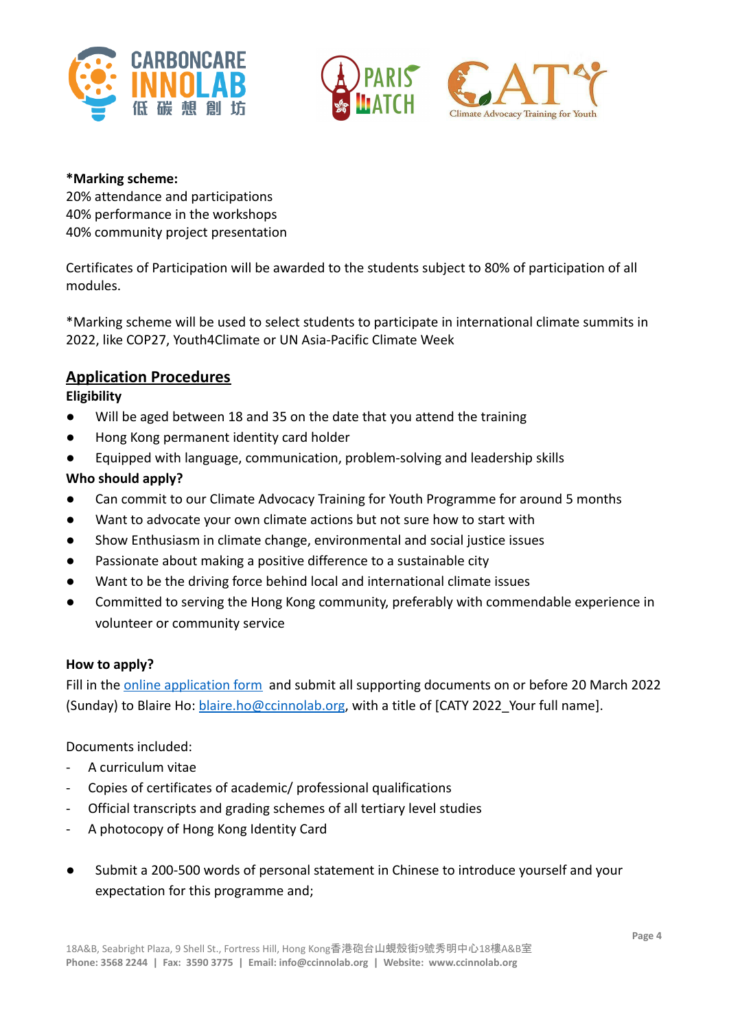





### **\*Marking scheme:**

20% attendance and participations 40% performance in the workshops 40% community project presentation

Certificates of Participation will be awarded to the students subject to 80% of participation of all modules.

\*Marking scheme will be used to select students to participate in international climate summits in 2022, like COP27, Youth4Climate or UN Asia-Pacific Climate Week

# **Application Procedures**

# **Eligibility**

- Will be aged between 18 and 35 on the date that you attend the training
- Hong Kong permanent identity card holder
- Equipped with language, communication, problem-solving and leadership skills

# **Who should apply?**

- Can commit to our Climate Advocacy Training for Youth Programme for around 5 months
- Want to advocate your own climate actions but not sure how to start with
- Show Enthusiasm in climate change, environmental and social justice issues
- Passionate about making a positive difference to a sustainable city
- Want to be the driving force behind local and international climate issues
- Committed to serving the Hong Kong community, preferably with commendable experience in volunteer or community service

## **How to apply?**

Fill in the [online application form](https://forms.gle/hMPaHs39HcvYDXweA) and submit all supporting documents on or before 20 March 2022 (Sunday) to Blaire Ho: [blaire.ho@ccinnolab.org](mailto:blaire.ho@ccinnolab.org), with a title of [CATY 2022 Your full name].

## Documents included:

- A curriculum vitae
- Copies of certificates of academic/ professional qualifications
- Official transcripts and grading schemes of all tertiary level studies
- A photocopy of Hong Kong Identity Card
- Submit a 200-500 words of personal statement in Chinese to introduce yourself and your expectation for this programme and;